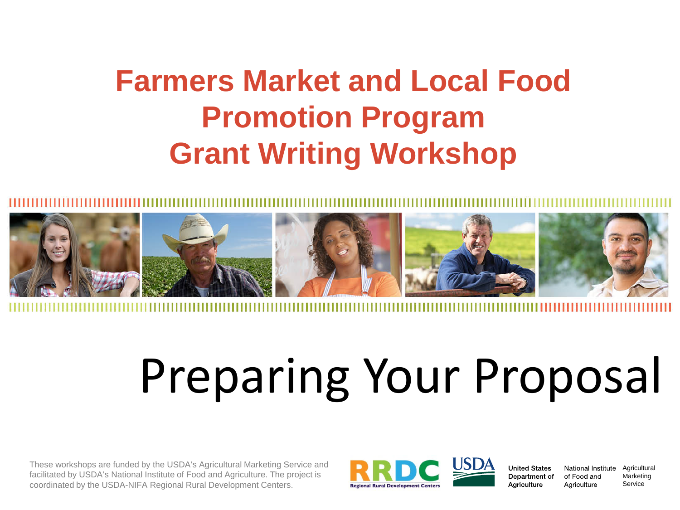# **Farmers Market and Local Food Promotion Program Grant Writing Workshop**



# Preparing Your Proposal

These workshops are funded by the USDA's Agricultural Marketing Service and facilitated by USDA's National Institute of Food and Agriculture. The project is coordinated by the USDA-NIFA Regional Rural Development Centers.



**United States** Department of Agriculture

of Food and Aariculture

National Institute Agricultural Marketing Service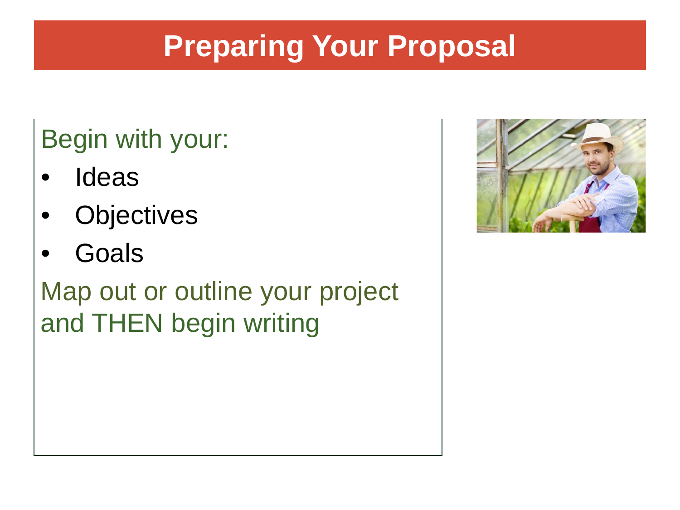# **Preparing Your Proposal**

### Begin with your:

- **Ideas**
- **Objectives**
- **Goals**

Map out or outline your project and THEN begin writing

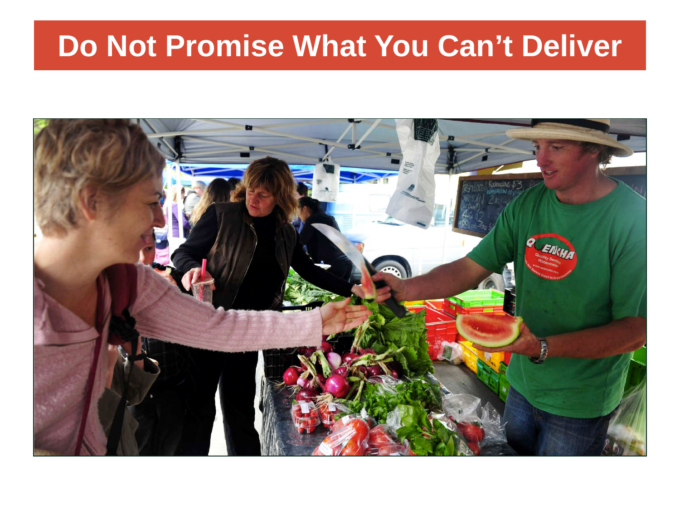### **Do Not Promise What You Can't Deliver**

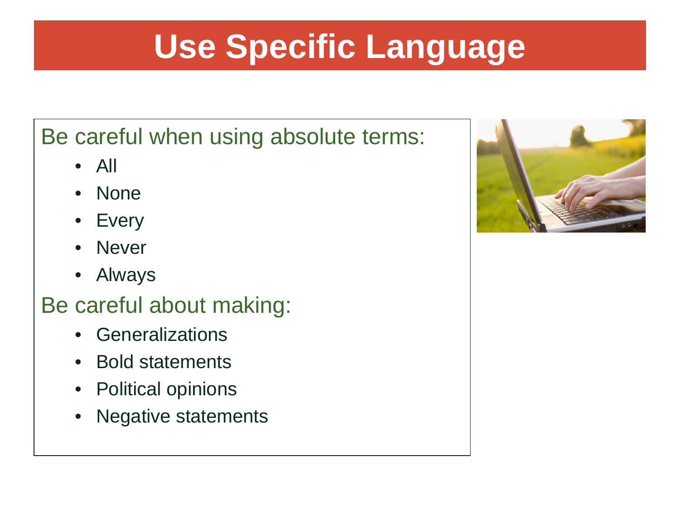# **Use Specific Language**

#### Be careful when using absolute terms:

- All
- None
- **Every**
- Never
- Always

#### Be careful about making:

- Generalizations
- Bold statements
- Political opinions
- Negative statements

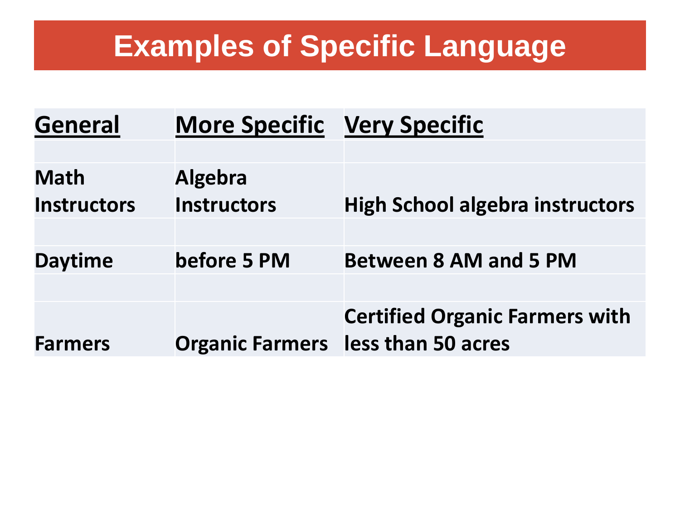### **Examples of Specific Language**

| <b>General</b>     | <b>More Specific Very Specific</b> |                                           |
|--------------------|------------------------------------|-------------------------------------------|
|                    |                                    |                                           |
| <b>Math</b>        | <b>Algebra</b>                     |                                           |
| <b>Instructors</b> | <b>Instructors</b>                 | <b>High School algebra instructors</b>    |
|                    |                                    |                                           |
| <b>Daytime</b>     | before 5 PM                        | <b>Between 8 AM and 5 PM</b>              |
|                    |                                    |                                           |
|                    |                                    | <b>Certified Organic Farmers with</b>     |
| <b>Farmers</b>     |                                    | <b>Organic Farmers</b> less than 50 acres |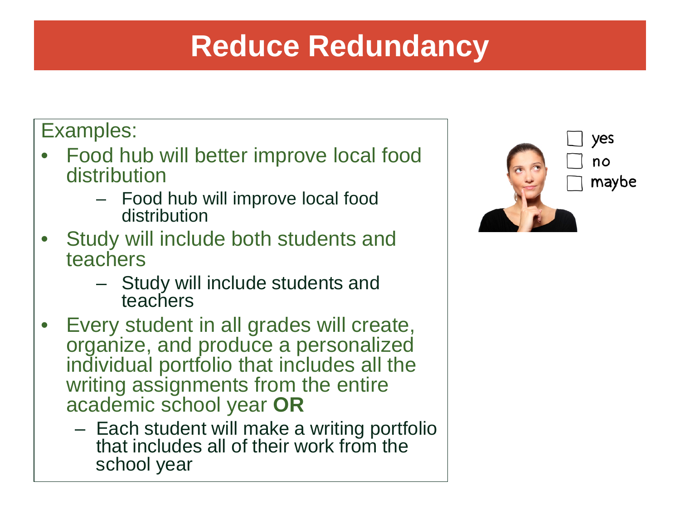### **Reduce Redundancy**

#### Examples:

- Food hub will better improve local food distribution
	- Food hub will improve local food distribution
- Study will include both students and teachers
	- Study will include students and teachers
- Every student in all grades will create, organize, and produce a personalized individual portfolio that includes all the writing assignments from the entire academic school year **OR**
	- Each student will make a writing portfolio that includes all of their work from the school year

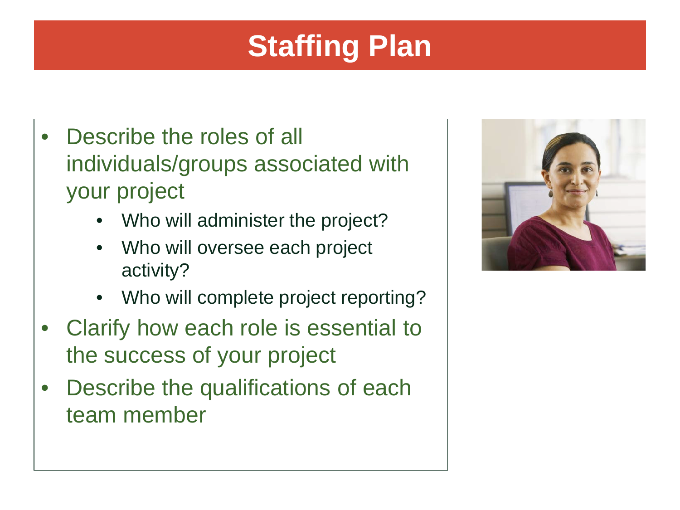# **Staffing Plan**

- Describe the roles of all individuals/groups associated with your project
	- Who will administer the project?
	- Who will oversee each project activity?
	- Who will complete project reporting?
- Clarify how each role is essential to the success of your project
- Describe the qualifications of each team member

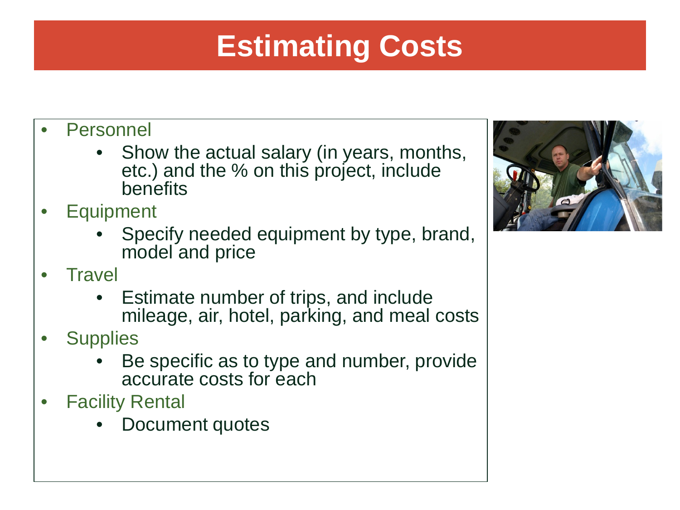# **Estimating Costs**

- **Personnel** 
	- Show the actual salary (in years, months, etc.) and the % on this project, include benefits
- **Equipment** 
	- Specify needed equipment by type, brand, model and price
- **Travel** 
	- Estimate number of trips, and include mileage, air, hotel, parking, and meal costs
- **Supplies** 
	- Be specific as to type and number, provide accurate costs for each
- **Facility Rental** 
	- Document quotes

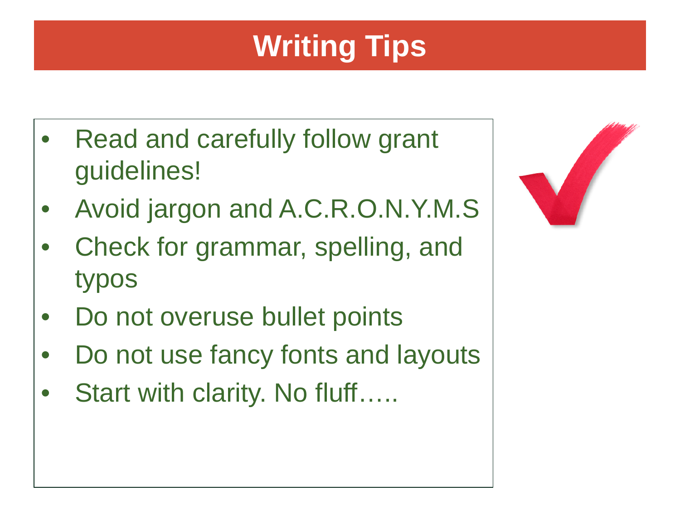# **Writing Tips**

- Read and carefully follow grant guidelines!
- Avoid jargon and A.C.R.O.N.Y.M.S
- Check for grammar, spelling, and typos
- Do not overuse bullet points
- Do not use fancy fonts and layouts
- Start with clarity. No fluff…..

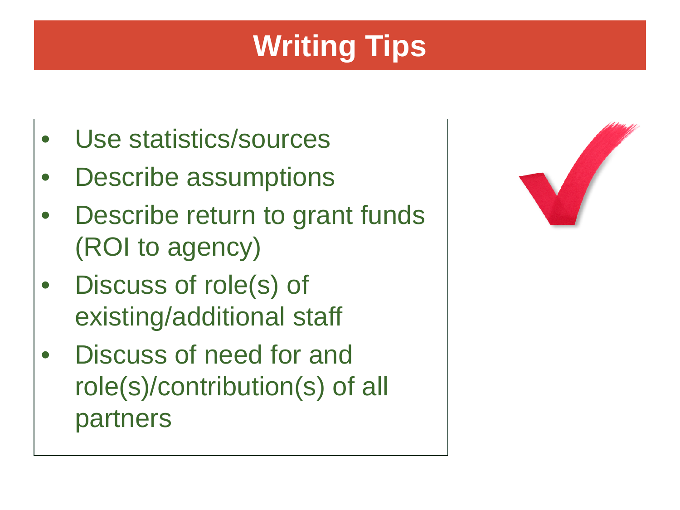# **Writing Tips**

- Use statistics/sources
- Describe assumptions
- Describe return to grant funds (ROI to agency)
- Discuss of role(s) of existing/additional staff
- Discuss of need for and role(s)/contribution(s) of all partners

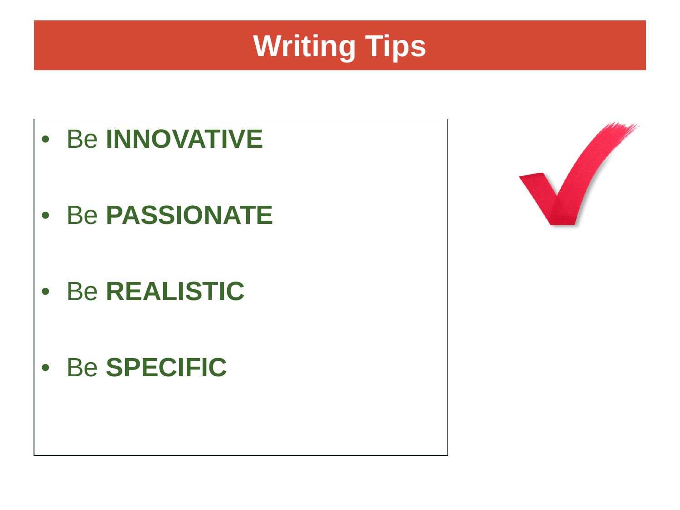# **Writing Tips**



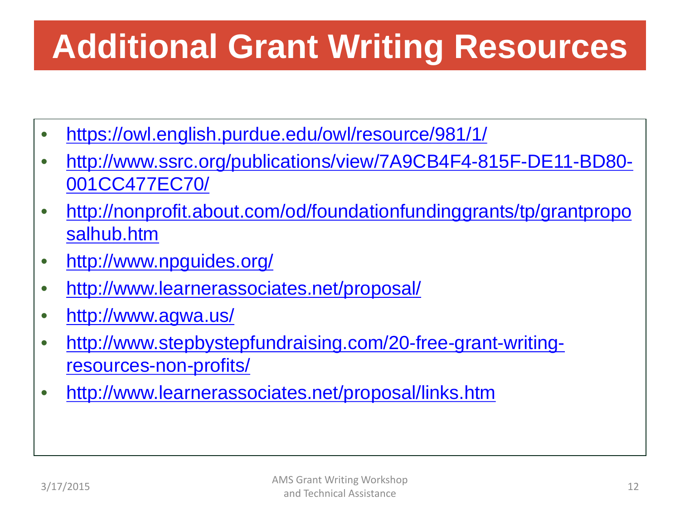# **Additional Grant Writing Resources**

- <https://owl.english.purdue.edu/owl/resource/981/1/>
- [http://www.ssrc.org/publications/view/7A9CB4F4-815F-DE11-BD80-](http://www.ssrc.org/publications/view/7A9CB4F4-815F-DE11-BD80-001CC477EC70/) [001CC477EC70/](http://www.ssrc.org/publications/view/7A9CB4F4-815F-DE11-BD80-001CC477EC70/)
- [http://nonprofit.about.com/od/foundationfundinggrants/tp/grantpropo](http://nonprofit.about.com/od/foundationfundinggrants/tp/grantproposalhub.htm) [salhub.htm](http://nonprofit.about.com/od/foundationfundinggrants/tp/grantproposalhub.htm)
- <http://www.npguides.org/>
- <http://www.learnerassociates.net/proposal/>
- <http://www.agwa.us/>
- [http://www.stepbystepfundraising.com/20-free-grant-writing](http://www.stepbystepfundraising.com/20-free-grant-writing-resources-non-profits/)[resources-non-profits/](http://www.stepbystepfundraising.com/20-free-grant-writing-resources-non-profits/)
- <http://www.learnerassociates.net/proposal/links.htm>